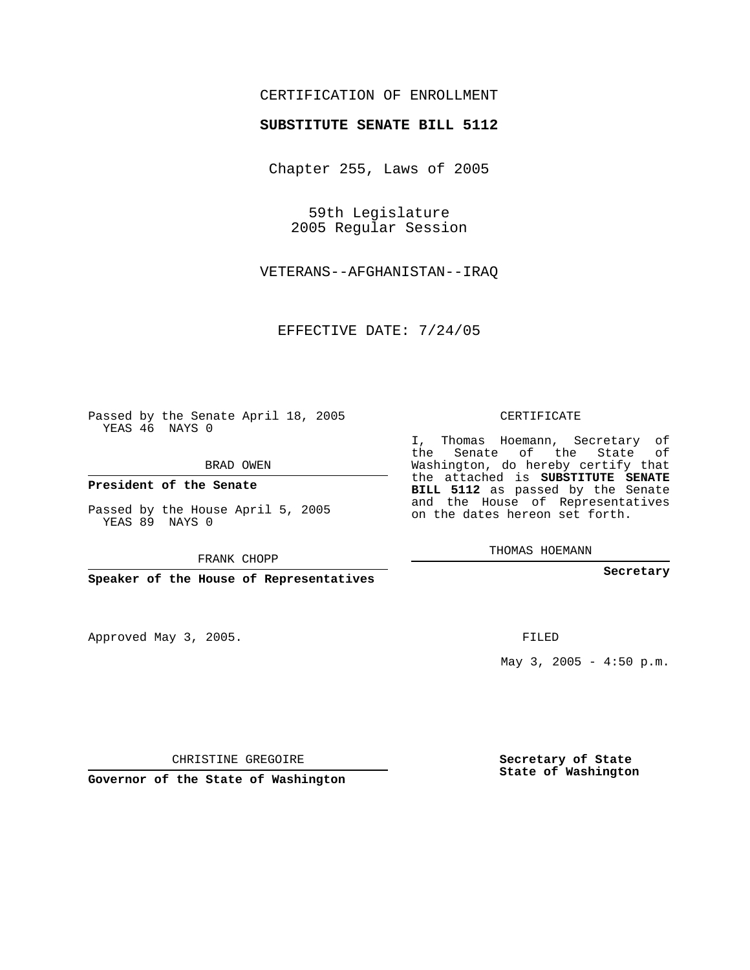# CERTIFICATION OF ENROLLMENT

### **SUBSTITUTE SENATE BILL 5112**

Chapter 255, Laws of 2005

59th Legislature 2005 Regular Session

VETERANS--AFGHANISTAN--IRAQ

EFFECTIVE DATE: 7/24/05

Passed by the Senate April 18, 2005 YEAS 46 NAYS 0

BRAD OWEN

**President of the Senate**

Passed by the House April 5, 2005 YEAS 89 NAYS 0

FRANK CHOPP

**Speaker of the House of Representatives**

Approved May 3, 2005.

CERTIFICATE

I, Thomas Hoemann, Secretary of the Senate of the State of Washington, do hereby certify that the attached is **SUBSTITUTE SENATE BILL 5112** as passed by the Senate and the House of Representatives on the dates hereon set forth.

THOMAS HOEMANN

**Secretary**

FILED

May  $3, 2005 - 4:50 \text{ p.m.}$ 

CHRISTINE GREGOIRE

**Governor of the State of Washington**

**Secretary of State State of Washington**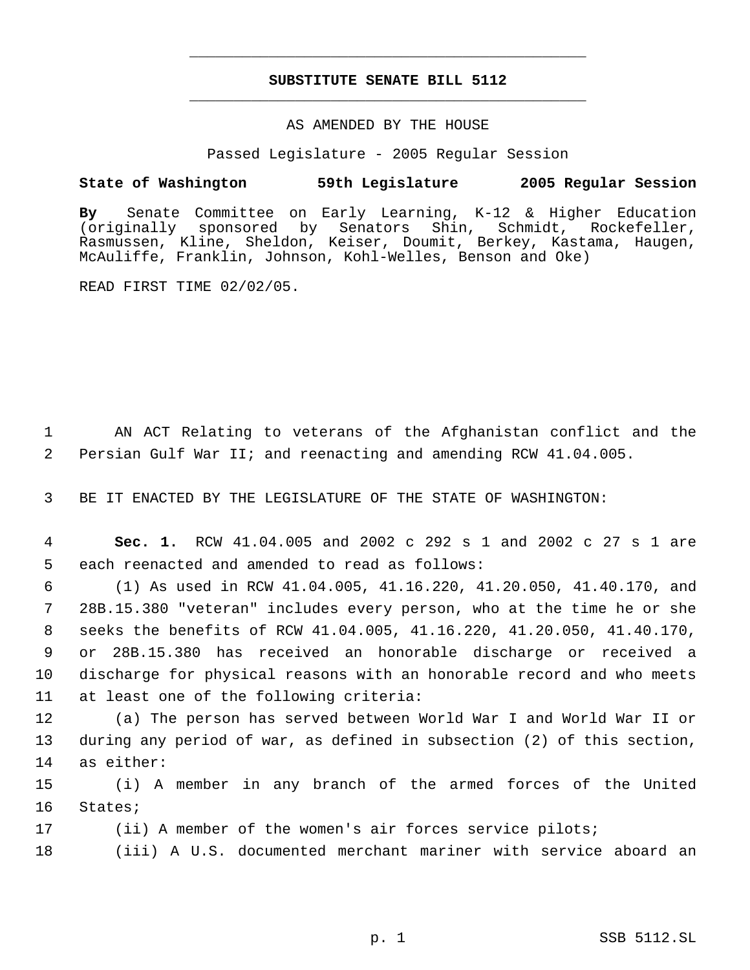# **SUBSTITUTE SENATE BILL 5112** \_\_\_\_\_\_\_\_\_\_\_\_\_\_\_\_\_\_\_\_\_\_\_\_\_\_\_\_\_\_\_\_\_\_\_\_\_\_\_\_\_\_\_\_\_

\_\_\_\_\_\_\_\_\_\_\_\_\_\_\_\_\_\_\_\_\_\_\_\_\_\_\_\_\_\_\_\_\_\_\_\_\_\_\_\_\_\_\_\_\_

### AS AMENDED BY THE HOUSE

Passed Legislature - 2005 Regular Session

### **State of Washington 59th Legislature 2005 Regular Session**

**By** Senate Committee on Early Learning, K-12 & Higher Education (originally sponsored by Senators Shin, Rasmussen, Kline, Sheldon, Keiser, Doumit, Berkey, Kastama, Haugen, McAuliffe, Franklin, Johnson, Kohl-Welles, Benson and Oke)

READ FIRST TIME 02/02/05.

 1 AN ACT Relating to veterans of the Afghanistan conflict and the 2 Persian Gulf War II; and reenacting and amending RCW 41.04.005.

3 BE IT ENACTED BY THE LEGISLATURE OF THE STATE OF WASHINGTON:

 4 **Sec. 1.** RCW 41.04.005 and 2002 c 292 s 1 and 2002 c 27 s 1 are 5 each reenacted and amended to read as follows:

 (1) As used in RCW 41.04.005, 41.16.220, 41.20.050, 41.40.170, and 28B.15.380 "veteran" includes every person, who at the time he or she seeks the benefits of RCW 41.04.005, 41.16.220, 41.20.050, 41.40.170, or 28B.15.380 has received an honorable discharge or received a discharge for physical reasons with an honorable record and who meets at least one of the following criteria:

12 (a) The person has served between World War I and World War II or 13 during any period of war, as defined in subsection (2) of this section, 14 as either:

15 (i) A member in any branch of the armed forces of the United 16 States;

17 (ii) A member of the women's air forces service pilots;

18 (iii) A U.S. documented merchant mariner with service aboard an